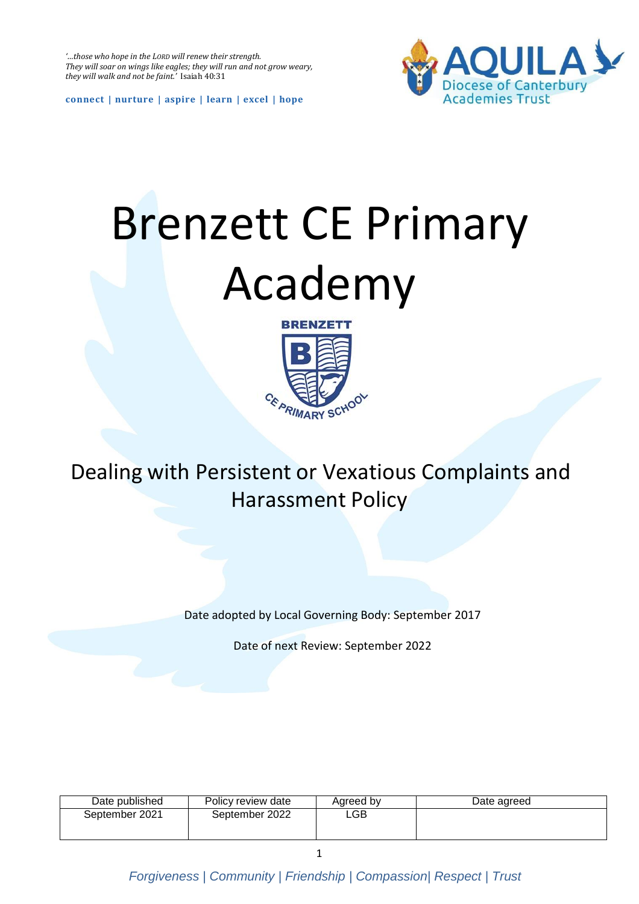*'…those who hope in the LORD will renew their strength. They will soar on wings like eagles; they will run and not grow weary, they will walk and not be faint.'* Isaiah 40:31



**connect | nurture | aspire | learn | excel | hope**

# Brenzett CE Primary Academy



Dealing with Persistent or Vexatious Complaints and Harassment Policy

Date adopted by Local Governing Body: September 2017

Date of next Review: September 2022

| Date published | Policy review date | Agreed by | Date agreed |
|----------------|--------------------|-----------|-------------|
| September 2021 | September 2022     | ∟GB       |             |
|                |                    |           |             |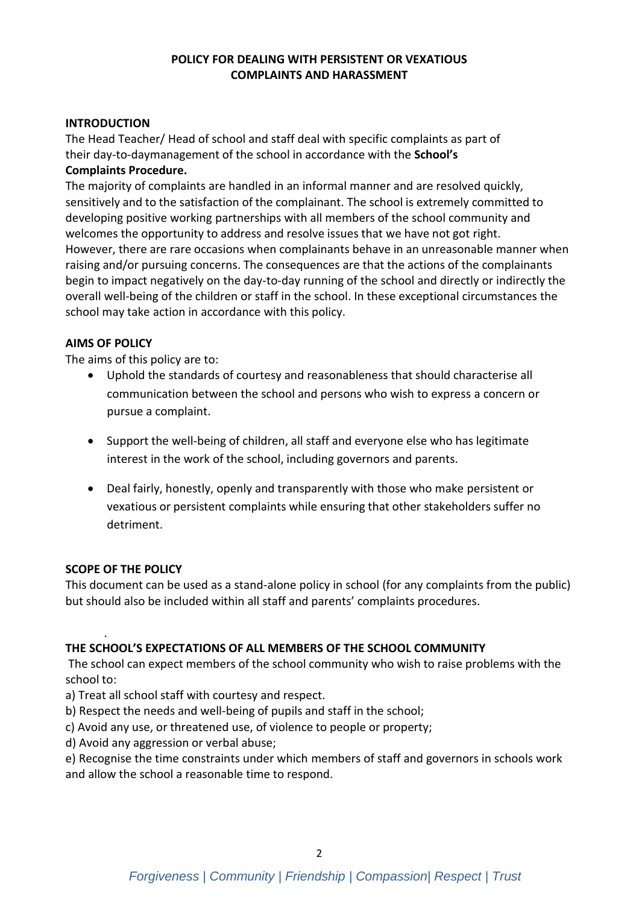## **POLICY FOR DEALING WITH PERSISTENT OR VEXATIOUS COMPLAINTS AND HARASSMENT**

## **INTRODUCTION**

The Head Teacher/ Head of school and staff deal with specific complaints as part of their day-to-daymanagement of the school in accordance with the **School's Complaints Procedure.**

The majority of complaints are handled in an informal manner and are resolved quickly, sensitively and to the satisfaction of the complainant. The school is extremely committed to developing positive working partnerships with all members of the school community and welcomes the opportunity to address and resolve issues that we have not got right. However, there are rare occasions when complainants behave in an unreasonable manner when raising and/or pursuing concerns. The consequences are that the actions of the complainants begin to impact negatively on the day-to-day running of the school and directly or indirectly the overall well-being of the children or staff in the school. In these exceptional circumstances the school may take action in accordance with this policy.

## **AIMS OF POLICY**

The aims of this policy are to:

- Uphold the standards of courtesy and reasonableness that should characterise all communication between the school and persons who wish to express a concern or pursue a complaint.
- Support the well-being of children, all staff and everyone else who has legitimate interest in the work of the school, including governors and parents.
- Deal fairly, honestly, openly and transparently with those who make persistent or vexatious or persistent complaints while ensuring that other stakeholders suffer no detriment.

#### **SCOPE OF THE POLICY**

This document can be used as a stand-alone policy in school (for any complaints from the public) but should also be included within all staff and parents' complaints procedures.

#### . **THE SCHOOL'S EXPECTATIONS OF ALL MEMBERS OF THE SCHOOL COMMUNITY**

The school can expect members of the school community who wish to raise problems with the school to:

- a) Treat all school staff with courtesy and respect.
- b) Respect the needs and well-being of pupils and staff in the school;
- c) Avoid any use, or threatened use, of violence to people or property;
- d) Avoid any aggression or verbal abuse;

e) Recognise the time constraints under which members of staff and governors in schools work and allow the school a reasonable time to respond.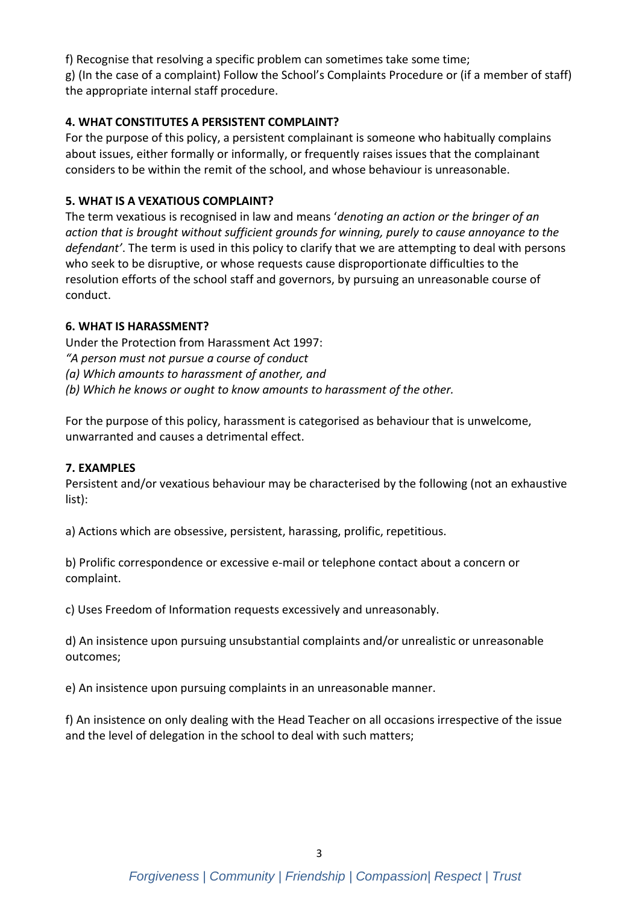f) Recognise that resolving a specific problem can sometimes take some time; g) (In the case of a complaint) Follow the School's Complaints Procedure or (if a member of staff) the appropriate internal staff procedure.

# **4. WHAT CONSTITUTES A PERSISTENT COMPLAINT?**

For the purpose of this policy, a persistent complainant is someone who habitually complains about issues, either formally or informally, or frequently raises issues that the complainant considers to be within the remit of the school, and whose behaviour is unreasonable.

## **5. WHAT IS A VEXATIOUS COMPLAINT?**

The term vexatious is recognised in law and means '*denoting an action or the bringer of an action that is brought without sufficient grounds for winning, purely to cause annoyance to the defendant'*. The term is used in this policy to clarify that we are attempting to deal with persons who seek to be disruptive, or whose requests cause disproportionate difficulties to the resolution efforts of the school staff and governors, by pursuing an unreasonable course of conduct.

## **6. WHAT IS HARASSMENT?**

Under the Protection from Harassment Act 1997: *"A person must not pursue a course of conduct (a) Which amounts to harassment of another, and (b) Which he knows or ought to know amounts to harassment of the other.*

For the purpose of this policy, harassment is categorised as behaviour that is unwelcome, unwarranted and causes a detrimental effect.

#### **7. EXAMPLES**

Persistent and/or vexatious behaviour may be characterised by the following (not an exhaustive list):

a) Actions which are obsessive, persistent, harassing, prolific, repetitious.

b) Prolific correspondence or excessive e-mail or telephone contact about a concern or complaint.

c) Uses Freedom of Information requests excessively and unreasonably.

d) An insistence upon pursuing unsubstantial complaints and/or unrealistic or unreasonable outcomes;

e) An insistence upon pursuing complaints in an unreasonable manner.

f) An insistence on only dealing with the Head Teacher on all occasions irrespective of the issue and the level of delegation in the school to deal with such matters;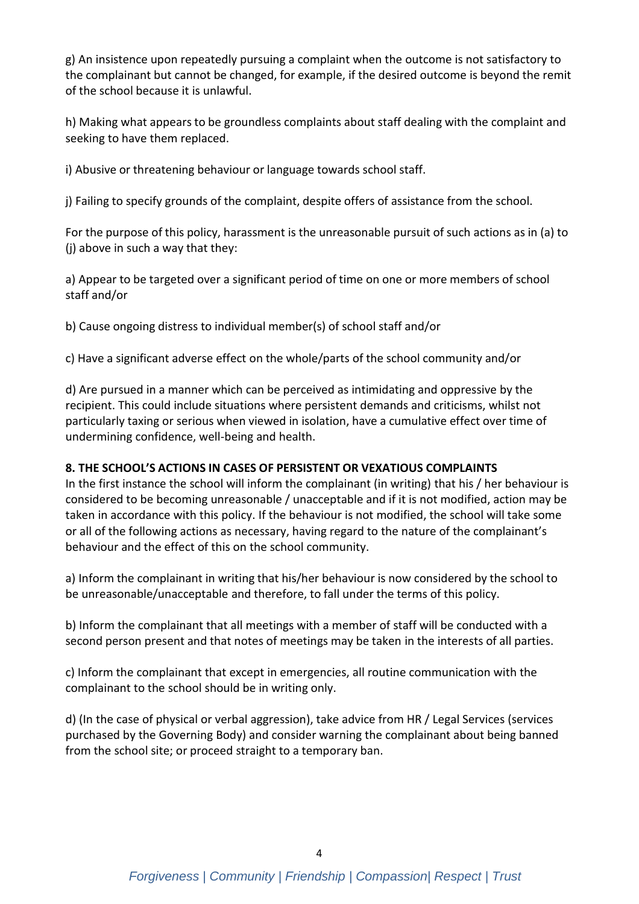g) An insistence upon repeatedly pursuing a complaint when the outcome is not satisfactory to the complainant but cannot be changed, for example, if the desired outcome is beyond the remit of the school because it is unlawful.

h) Making what appears to be groundless complaints about staff dealing with the complaint and seeking to have them replaced.

i) Abusive or threatening behaviour or language towards school staff.

j) Failing to specify grounds of the complaint, despite offers of assistance from the school.

For the purpose of this policy, harassment is the unreasonable pursuit of such actions as in (a) to (j) above in such a way that they:

a) Appear to be targeted over a significant period of time on one or more members of school staff and/or

b) Cause ongoing distress to individual member(s) of school staff and/or

c) Have a significant adverse effect on the whole/parts of the school community and/or

d) Are pursued in a manner which can be perceived as intimidating and oppressive by the recipient. This could include situations where persistent demands and criticisms, whilst not particularly taxing or serious when viewed in isolation, have a cumulative effect over time of undermining confidence, well-being and health.

# **8. THE SCHOOL'S ACTIONS IN CASES OF PERSISTENT OR VEXATIOUS COMPLAINTS**

In the first instance the school will inform the complainant (in writing) that his / her behaviour is considered to be becoming unreasonable / unacceptable and if it is not modified, action may be taken in accordance with this policy. If the behaviour is not modified, the school will take some or all of the following actions as necessary, having regard to the nature of the complainant's behaviour and the effect of this on the school community.

a) Inform the complainant in writing that his/her behaviour is now considered by the school to be unreasonable/unacceptable and therefore, to fall under the terms of this policy.

b) Inform the complainant that all meetings with a member of staff will be conducted with a second person present and that notes of meetings may be taken in the interests of all parties.

c) Inform the complainant that except in emergencies, all routine communication with the complainant to the school should be in writing only.

d) (In the case of physical or verbal aggression), take advice from HR / Legal Services (services purchased by the Governing Body) and consider warning the complainant about being banned from the school site; or proceed straight to a temporary ban.